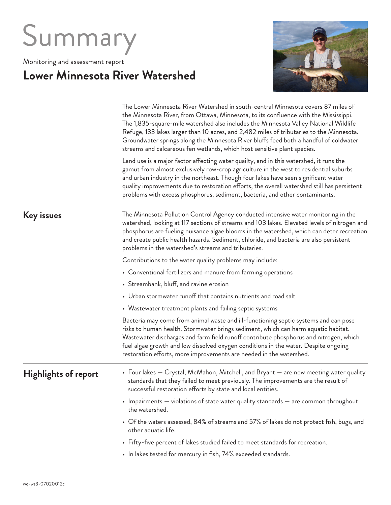# Summary

Monitoring and assessment report

## **Lower Minnesota River Watershed**



The Lower Minnesota River Watershed in south-central Minnesota covers 87 miles of the Minnesota River, from Ottawa, Minnesota, to its confluence with the Mississippi. The 1,835-square-mile watershed also includes the Minnesota Valley National Wildlife Refuge, 133 lakes larger than 10 acres, and 2,482 miles of tributaries to the Minnesota. Groundwater springs along the Minnesota River bluffs feed both a handful of coldwater streams and calcareous fen wetlands, which host sensitive plant species. Land use is a major factor affecting water quailty, and in this watershed, it runs the

gamut from almost exclusively row-crop agriculture in the west to residential suburbs and urban industry in the northeast. Though four lakes have seen significant water quality improvements due to restoration efforts, the overall watershed still has persistent problems with excess phosphorus, sediment, bacteria, and other contaminants.

#### **Key issues**

The Minnesota Pollution Control Agency conducted intensive water monitoring in the watershed, looking at 117 sections of streams and 103 lakes. Elevated levels of nitrogen and phosphorus are fueling nuisance algae blooms in the watershed, which can deter recreation and create public health hazards. Sediment, chloride, and bacteria are also persistent problems in the watershed's streams and tributaries.

Contributions to the water quality problems may include:

- Conventional fertilizers and manure from farming operations
- Streambank, bluff, and ravine erosion
- Urban stormwater runoff that contains nutrients and road salt
- Wastewater treatment plants and failing septic systems

Bacteria may come from animal waste and ill-functioning septic systems and can pose risks to human health. Stormwater brings sediment, which can harm aquatic habitat. Wastewater discharges and farm field runoff contribute phosphorus and nitrogen, which fuel algae growth and low dissolved oxygen conditions in the water. Despite ongoing restoration efforts, more improvements are needed in the watershed.

#### **Highlights of report**

- Four lakes Crystal, McMahon, Mitchell, and Bryant are now meeting water quality standards that they failed to meet previously. The improvements are the result of successful restoration efforts by state and local entities.
	- Impairments violations of state water quality standards are common throughout the watershed.
	- Of the waters assessed, 84% of streams and 57% of lakes do not protect fish, bugs, and other aquatic life.
	- Fifty-five percent of lakes studied failed to meet standards for recreation.
	- In lakes tested for mercury in fish, 74% exceeded standards.